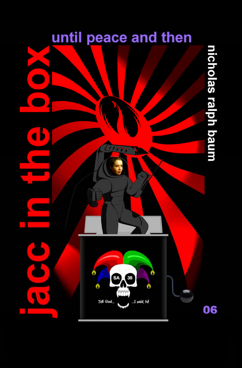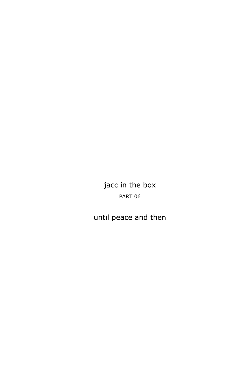jacc in the box PART 06

until peace and then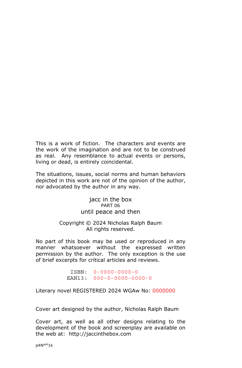This is a work of fiction. The characters and events are the work of the imagination and are not to be construed as real. Any resemblance to actual events or persons, living or dead, is entirely coincidental.

The situations, issues, social norms and human behaviors depicted in this work are not of the opinion of the author, nor advocated by the author in any way.

> jacc in the box PART 06 until peace and then

## Copyright © 2024 Nicholas Ralph Baum All rights reserved.

No part of this book may be used or reproduced in any manner whatsoever without the expressed written permission by the author. The only exception is the use of brief excerpts for critical articles and reviews.

> ISBN: 0-0000-0000-0 EAN13: 000-0-0000-0000-0

Literary novel REGISTERED 2024 WGAw No: 0000000

Cover art designed by the author, Nicholas Ralph Baum

Cover art, as well as all other designs relating to the development of the book and screenplay are available on the web at: http://jaccinthebox.com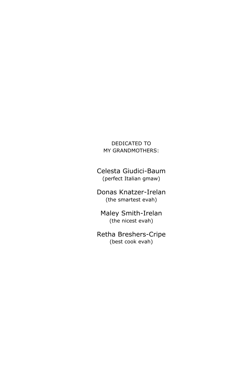DEDICATED TO MY GRANDMOTHERS:

Celesta Giudici-Baum (perfect Italian gmaw)

Donas Knatzer-Irelan (the smartest evah)

Maley Smith-Irelan (the nicest evah)

Retha Breshers-Cripe (best cook evah)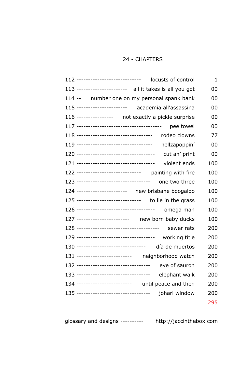## 24 - CHAPTERS

| 112 ------------------------------<br>locusts of control | 1   |
|----------------------------------------------------------|-----|
| 113 ---------------------- all it takes is all you got   | 00  |
| 114 -- number one on my personal spank bank              | 00  |
| 115 ---------------------- academia all'assassina        | 00  |
| 116 ---------------- not exactly a pickle surprise       | 00  |
| pee towel                                                | 00  |
| rodeo clowns                                             | 77  |
| 119 ----------------------------------<br>hellzapoppin'  | 00  |
| 120 -----------------------------------<br>cut an' print | 00  |
| violent ends                                             | 100 |
| 122 ---------------------------- painting with fire      | 100 |
| one two three                                            | 100 |
| 124 ---------------------- new brisbane boogaloo         | 100 |
| 125 ---------------------------- to lie in the grass     | 100 |
| omega man                                                | 100 |
| 127 ----------------------- new born baby ducks          | 100 |
| sewer rats                                               | 200 |
| 129 -----------------------------------<br>working title | 200 |
| día de muertos                                           | 200 |
| 131 ------------------------ neighborhood watch          | 200 |
| 132 ----------------------------------<br>eye of sauron  | 200 |
| 133 ----------------------------------<br>elephant walk  | 200 |
| 134 ------------------------ until peace and then        | 200 |
| 135 ---------------------------------<br>johari window   | 200 |
|                                                          | 295 |

glossary and designs ---------- http://jaccinthebox.com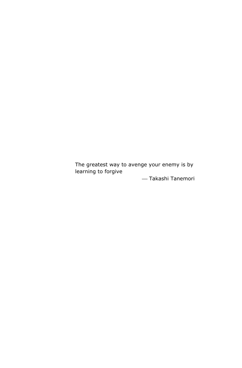The greatest way to avenge your enemy is by learning to forgive

⎯ Takashi Tanemori